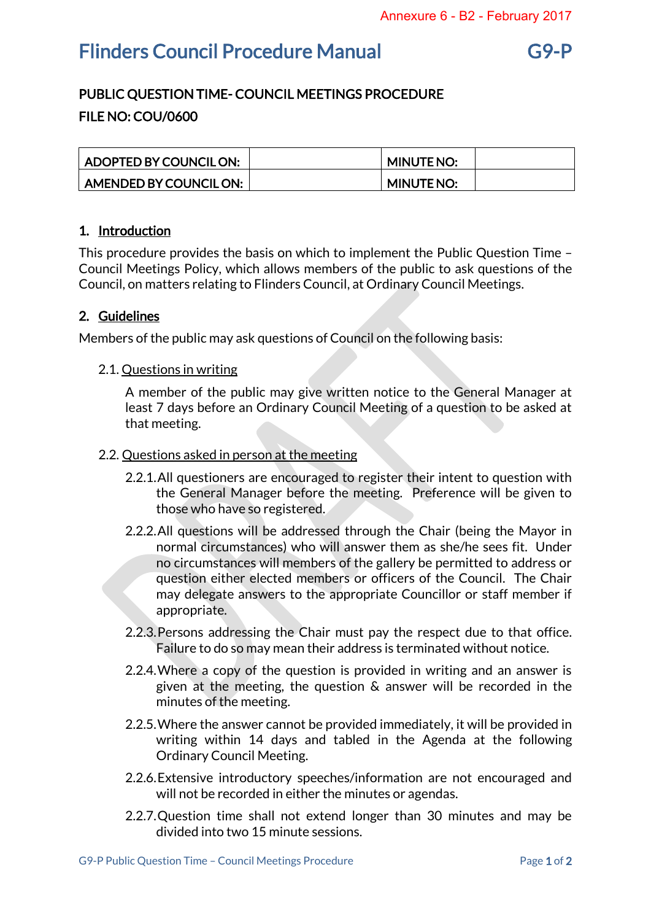# Flinders Council Procedure Manual G9-P

## PUBLIC QUESTION TIME- COUNCIL MEETINGS PROCEDURE FILE NO: COU/0600

| ADOPTED BY COUNCIL ON: | <b>MINUTE NO:</b> |  |
|------------------------|-------------------|--|
| AMENDED BY COUNCIL ON: | <b>MINUTE NO:</b> |  |

### 1. Introduction

This procedure provides the basis on which to implement the Public Question Time – Council Meetings Policy, which allows members of the public to ask questions of the Council, on matters relating to Flinders Council, at Ordinary Council Meetings.

#### 2. Guidelines

Members of the public may ask questions of Council on the following basis:

2.1. Questions in writing

A member of the public may give written notice to the General Manager at least 7 days before an Ordinary Council Meeting of a question to be asked at that meeting.

#### 2.2. Questions asked in person at the meeting

- 2.2.1.All questioners are encouraged to register their intent to question with the General Manager before the meeting. Preference will be given to those who have so registered.
- 2.2.2.All questions will be addressed through the Chair (being the Mayor in normal circumstances) who will answer them as she/he sees fit. Under no circumstances will members of the gallery be permitted to address or question either elected members or officers of the Council. The Chair may delegate answers to the appropriate Councillor or staff member if appropriate.
- 2.2.3.Persons addressing the Chair must pay the respect due to that office. Failure to do so may mean their address is terminated without notice.
- 2.2.4.Where a copy of the question is provided in writing and an answer is given at the meeting, the question & answer will be recorded in the minutes of the meeting.
- 2.2.5.Where the answer cannot be provided immediately, it will be provided in writing within 14 days and tabled in the Agenda at the following Ordinary Council Meeting.
- 2.2.6.Extensive introductory speeches/information are not encouraged and will not be recorded in either the minutes or agendas.
- 2.2.7.Question time shall not extend longer than 30 minutes and may be divided into two 15 minute sessions.